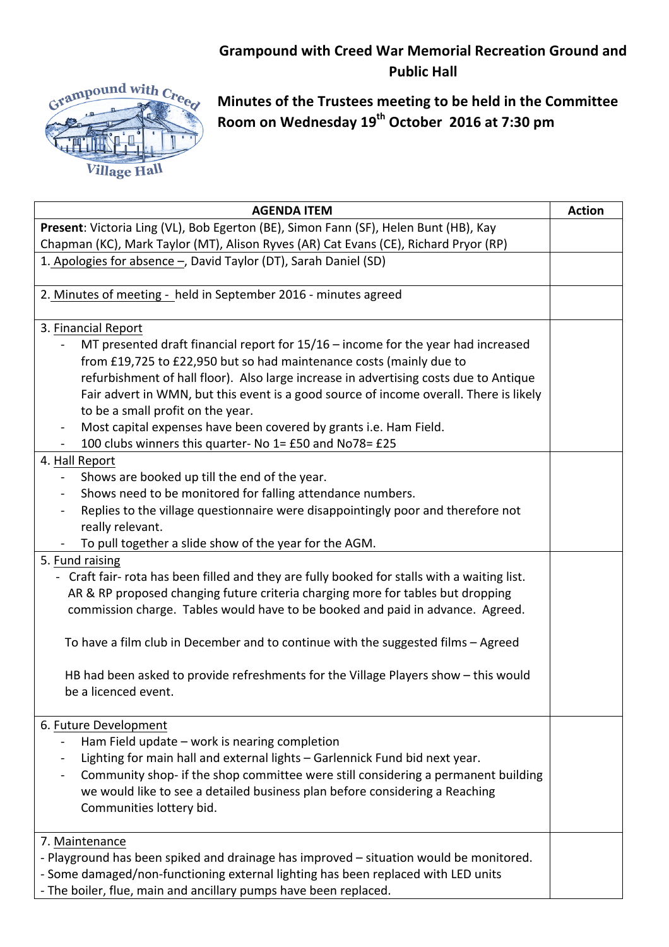## **Grampound with Creed War Memorial Recreation Ground and Public Hall**



**Minutes of the Trustees meeting to be held in the Committee Room on Wednesday 19th October 2016 at 7:30 pm**

| Present: Victoria Ling (VL), Bob Egerton (BE), Simon Fann (SF), Helen Bunt (HB), Kay<br>Chapman (KC), Mark Taylor (MT), Alison Ryves (AR) Cat Evans (CE), Richard Pryor (RP)<br>1. Apologies for absence -, David Taylor (DT), Sarah Daniel (SD)<br>2. Minutes of meeting - held in September 2016 - minutes agreed<br>3. Financial Report<br>MT presented draft financial report for $15/16$ – income for the year had increased<br>from £19,725 to £22,950 but so had maintenance costs (mainly due to<br>refurbishment of hall floor). Also large increase in advertising costs due to Antique<br>Fair advert in WMN, but this event is a good source of income overall. There is likely<br>to be a small profit on the year.<br>Most capital expenses have been covered by grants i.e. Ham Field.<br>100 clubs winners this quarter- No 1= £50 and No78= £25<br>4. Hall Report<br>Shows are booked up till the end of the year.<br>Shows need to be monitored for falling attendance numbers.<br>Replies to the village questionnaire were disappointingly poor and therefore not<br>$\blacksquare$<br>really relevant.<br>To pull together a slide show of the year for the AGM.<br>5. Fund raising<br>- Craft fair- rota has been filled and they are fully booked for stalls with a waiting list.<br>AR & RP proposed changing future criteria charging more for tables but dropping<br>commission charge. Tables would have to be booked and paid in advance. Agreed.<br>To have a film club in December and to continue with the suggested films - Agreed<br>HB had been asked to provide refreshments for the Village Players show - this would<br>be a licenced event. |
|-----------------------------------------------------------------------------------------------------------------------------------------------------------------------------------------------------------------------------------------------------------------------------------------------------------------------------------------------------------------------------------------------------------------------------------------------------------------------------------------------------------------------------------------------------------------------------------------------------------------------------------------------------------------------------------------------------------------------------------------------------------------------------------------------------------------------------------------------------------------------------------------------------------------------------------------------------------------------------------------------------------------------------------------------------------------------------------------------------------------------------------------------------------------------------------------------------------------------------------------------------------------------------------------------------------------------------------------------------------------------------------------------------------------------------------------------------------------------------------------------------------------------------------------------------------------------------------------------------------------------------------------------------------------------------------|
|                                                                                                                                                                                                                                                                                                                                                                                                                                                                                                                                                                                                                                                                                                                                                                                                                                                                                                                                                                                                                                                                                                                                                                                                                                                                                                                                                                                                                                                                                                                                                                                                                                                                                   |
|                                                                                                                                                                                                                                                                                                                                                                                                                                                                                                                                                                                                                                                                                                                                                                                                                                                                                                                                                                                                                                                                                                                                                                                                                                                                                                                                                                                                                                                                                                                                                                                                                                                                                   |
|                                                                                                                                                                                                                                                                                                                                                                                                                                                                                                                                                                                                                                                                                                                                                                                                                                                                                                                                                                                                                                                                                                                                                                                                                                                                                                                                                                                                                                                                                                                                                                                                                                                                                   |
|                                                                                                                                                                                                                                                                                                                                                                                                                                                                                                                                                                                                                                                                                                                                                                                                                                                                                                                                                                                                                                                                                                                                                                                                                                                                                                                                                                                                                                                                                                                                                                                                                                                                                   |
|                                                                                                                                                                                                                                                                                                                                                                                                                                                                                                                                                                                                                                                                                                                                                                                                                                                                                                                                                                                                                                                                                                                                                                                                                                                                                                                                                                                                                                                                                                                                                                                                                                                                                   |
|                                                                                                                                                                                                                                                                                                                                                                                                                                                                                                                                                                                                                                                                                                                                                                                                                                                                                                                                                                                                                                                                                                                                                                                                                                                                                                                                                                                                                                                                                                                                                                                                                                                                                   |
|                                                                                                                                                                                                                                                                                                                                                                                                                                                                                                                                                                                                                                                                                                                                                                                                                                                                                                                                                                                                                                                                                                                                                                                                                                                                                                                                                                                                                                                                                                                                                                                                                                                                                   |
|                                                                                                                                                                                                                                                                                                                                                                                                                                                                                                                                                                                                                                                                                                                                                                                                                                                                                                                                                                                                                                                                                                                                                                                                                                                                                                                                                                                                                                                                                                                                                                                                                                                                                   |
|                                                                                                                                                                                                                                                                                                                                                                                                                                                                                                                                                                                                                                                                                                                                                                                                                                                                                                                                                                                                                                                                                                                                                                                                                                                                                                                                                                                                                                                                                                                                                                                                                                                                                   |
|                                                                                                                                                                                                                                                                                                                                                                                                                                                                                                                                                                                                                                                                                                                                                                                                                                                                                                                                                                                                                                                                                                                                                                                                                                                                                                                                                                                                                                                                                                                                                                                                                                                                                   |
|                                                                                                                                                                                                                                                                                                                                                                                                                                                                                                                                                                                                                                                                                                                                                                                                                                                                                                                                                                                                                                                                                                                                                                                                                                                                                                                                                                                                                                                                                                                                                                                                                                                                                   |
|                                                                                                                                                                                                                                                                                                                                                                                                                                                                                                                                                                                                                                                                                                                                                                                                                                                                                                                                                                                                                                                                                                                                                                                                                                                                                                                                                                                                                                                                                                                                                                                                                                                                                   |
|                                                                                                                                                                                                                                                                                                                                                                                                                                                                                                                                                                                                                                                                                                                                                                                                                                                                                                                                                                                                                                                                                                                                                                                                                                                                                                                                                                                                                                                                                                                                                                                                                                                                                   |
|                                                                                                                                                                                                                                                                                                                                                                                                                                                                                                                                                                                                                                                                                                                                                                                                                                                                                                                                                                                                                                                                                                                                                                                                                                                                                                                                                                                                                                                                                                                                                                                                                                                                                   |
|                                                                                                                                                                                                                                                                                                                                                                                                                                                                                                                                                                                                                                                                                                                                                                                                                                                                                                                                                                                                                                                                                                                                                                                                                                                                                                                                                                                                                                                                                                                                                                                                                                                                                   |
|                                                                                                                                                                                                                                                                                                                                                                                                                                                                                                                                                                                                                                                                                                                                                                                                                                                                                                                                                                                                                                                                                                                                                                                                                                                                                                                                                                                                                                                                                                                                                                                                                                                                                   |
|                                                                                                                                                                                                                                                                                                                                                                                                                                                                                                                                                                                                                                                                                                                                                                                                                                                                                                                                                                                                                                                                                                                                                                                                                                                                                                                                                                                                                                                                                                                                                                                                                                                                                   |
|                                                                                                                                                                                                                                                                                                                                                                                                                                                                                                                                                                                                                                                                                                                                                                                                                                                                                                                                                                                                                                                                                                                                                                                                                                                                                                                                                                                                                                                                                                                                                                                                                                                                                   |
|                                                                                                                                                                                                                                                                                                                                                                                                                                                                                                                                                                                                                                                                                                                                                                                                                                                                                                                                                                                                                                                                                                                                                                                                                                                                                                                                                                                                                                                                                                                                                                                                                                                                                   |
|                                                                                                                                                                                                                                                                                                                                                                                                                                                                                                                                                                                                                                                                                                                                                                                                                                                                                                                                                                                                                                                                                                                                                                                                                                                                                                                                                                                                                                                                                                                                                                                                                                                                                   |
|                                                                                                                                                                                                                                                                                                                                                                                                                                                                                                                                                                                                                                                                                                                                                                                                                                                                                                                                                                                                                                                                                                                                                                                                                                                                                                                                                                                                                                                                                                                                                                                                                                                                                   |
|                                                                                                                                                                                                                                                                                                                                                                                                                                                                                                                                                                                                                                                                                                                                                                                                                                                                                                                                                                                                                                                                                                                                                                                                                                                                                                                                                                                                                                                                                                                                                                                                                                                                                   |
|                                                                                                                                                                                                                                                                                                                                                                                                                                                                                                                                                                                                                                                                                                                                                                                                                                                                                                                                                                                                                                                                                                                                                                                                                                                                                                                                                                                                                                                                                                                                                                                                                                                                                   |
|                                                                                                                                                                                                                                                                                                                                                                                                                                                                                                                                                                                                                                                                                                                                                                                                                                                                                                                                                                                                                                                                                                                                                                                                                                                                                                                                                                                                                                                                                                                                                                                                                                                                                   |
|                                                                                                                                                                                                                                                                                                                                                                                                                                                                                                                                                                                                                                                                                                                                                                                                                                                                                                                                                                                                                                                                                                                                                                                                                                                                                                                                                                                                                                                                                                                                                                                                                                                                                   |
|                                                                                                                                                                                                                                                                                                                                                                                                                                                                                                                                                                                                                                                                                                                                                                                                                                                                                                                                                                                                                                                                                                                                                                                                                                                                                                                                                                                                                                                                                                                                                                                                                                                                                   |
|                                                                                                                                                                                                                                                                                                                                                                                                                                                                                                                                                                                                                                                                                                                                                                                                                                                                                                                                                                                                                                                                                                                                                                                                                                                                                                                                                                                                                                                                                                                                                                                                                                                                                   |
|                                                                                                                                                                                                                                                                                                                                                                                                                                                                                                                                                                                                                                                                                                                                                                                                                                                                                                                                                                                                                                                                                                                                                                                                                                                                                                                                                                                                                                                                                                                                                                                                                                                                                   |
| 6. Future Development                                                                                                                                                                                                                                                                                                                                                                                                                                                                                                                                                                                                                                                                                                                                                                                                                                                                                                                                                                                                                                                                                                                                                                                                                                                                                                                                                                                                                                                                                                                                                                                                                                                             |
| Ham Field update - work is nearing completion                                                                                                                                                                                                                                                                                                                                                                                                                                                                                                                                                                                                                                                                                                                                                                                                                                                                                                                                                                                                                                                                                                                                                                                                                                                                                                                                                                                                                                                                                                                                                                                                                                     |
| Lighting for main hall and external lights - Garlennick Fund bid next year.                                                                                                                                                                                                                                                                                                                                                                                                                                                                                                                                                                                                                                                                                                                                                                                                                                                                                                                                                                                                                                                                                                                                                                                                                                                                                                                                                                                                                                                                                                                                                                                                       |
| Community shop- if the shop committee were still considering a permanent building                                                                                                                                                                                                                                                                                                                                                                                                                                                                                                                                                                                                                                                                                                                                                                                                                                                                                                                                                                                                                                                                                                                                                                                                                                                                                                                                                                                                                                                                                                                                                                                                 |
| we would like to see a detailed business plan before considering a Reaching                                                                                                                                                                                                                                                                                                                                                                                                                                                                                                                                                                                                                                                                                                                                                                                                                                                                                                                                                                                                                                                                                                                                                                                                                                                                                                                                                                                                                                                                                                                                                                                                       |
| Communities lottery bid.                                                                                                                                                                                                                                                                                                                                                                                                                                                                                                                                                                                                                                                                                                                                                                                                                                                                                                                                                                                                                                                                                                                                                                                                                                                                                                                                                                                                                                                                                                                                                                                                                                                          |
|                                                                                                                                                                                                                                                                                                                                                                                                                                                                                                                                                                                                                                                                                                                                                                                                                                                                                                                                                                                                                                                                                                                                                                                                                                                                                                                                                                                                                                                                                                                                                                                                                                                                                   |
| 7. Maintenance                                                                                                                                                                                                                                                                                                                                                                                                                                                                                                                                                                                                                                                                                                                                                                                                                                                                                                                                                                                                                                                                                                                                                                                                                                                                                                                                                                                                                                                                                                                                                                                                                                                                    |
| - Playground has been spiked and drainage has improved – situation would be monitored.                                                                                                                                                                                                                                                                                                                                                                                                                                                                                                                                                                                                                                                                                                                                                                                                                                                                                                                                                                                                                                                                                                                                                                                                                                                                                                                                                                                                                                                                                                                                                                                            |
| - Some damaged/non-functioning external lighting has been replaced with LED units<br>- The boiler, flue, main and ancillary pumps have been replaced.                                                                                                                                                                                                                                                                                                                                                                                                                                                                                                                                                                                                                                                                                                                                                                                                                                                                                                                                                                                                                                                                                                                                                                                                                                                                                                                                                                                                                                                                                                                             |